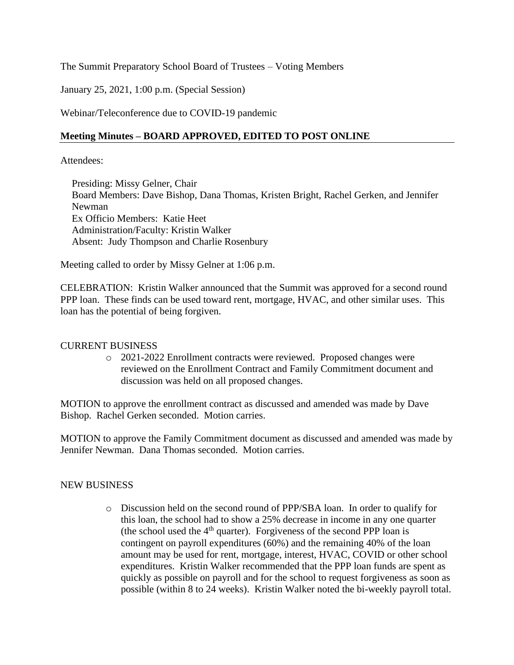## The Summit Preparatory School Board of Trustees – Voting Members

January 25, 2021, 1:00 p.m. (Special Session)

Webinar/Teleconference due to COVID-19 pandemic

## **Meeting Minutes – BOARD APPROVED, EDITED TO POST ONLINE**

Attendees:

Presiding: Missy Gelner, Chair Board Members: Dave Bishop, Dana Thomas, Kristen Bright, Rachel Gerken, and Jennifer Newman Ex Officio Members: Katie Heet Administration/Faculty: Kristin Walker Absent: Judy Thompson and Charlie Rosenbury

Meeting called to order by Missy Gelner at 1:06 p.m.

CELEBRATION: Kristin Walker announced that the Summit was approved for a second round PPP loan. These finds can be used toward rent, mortgage, HVAC, and other similar uses. This loan has the potential of being forgiven.

## CURRENT BUSINESS

o 2021-2022 Enrollment contracts were reviewed. Proposed changes were reviewed on the Enrollment Contract and Family Commitment document and discussion was held on all proposed changes.

MOTION to approve the enrollment contract as discussed and amended was made by Dave Bishop. Rachel Gerken seconded. Motion carries.

MOTION to approve the Family Commitment document as discussed and amended was made by Jennifer Newman. Dana Thomas seconded. Motion carries.

## NEW BUSINESS

o Discussion held on the second round of PPP/SBA loan. In order to qualify for this loan, the school had to show a 25% decrease in income in any one quarter (the school used the  $4<sup>th</sup>$  quarter). Forgiveness of the second PPP loan is contingent on payroll expenditures (60%) and the remaining 40% of the loan amount may be used for rent, mortgage, interest, HVAC, COVID or other school expenditures. Kristin Walker recommended that the PPP loan funds are spent as quickly as possible on payroll and for the school to request forgiveness as soon as possible (within 8 to 24 weeks). Kristin Walker noted the bi-weekly payroll total.